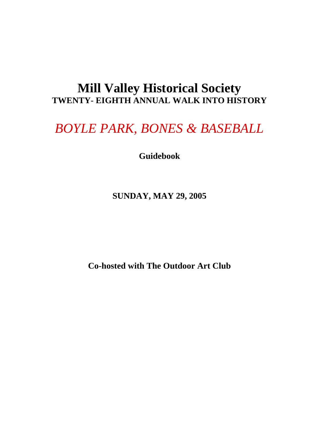## **Mill Valley Historical Society TWENTY- EIGHTH ANNUAL WALK INTO HISTORY**

# *BOYLE PARK, BONES & BASEBALL*

**Guidebook**

**SUNDAY, MAY 29, 2005**

**Co-hosted with The Outdoor Art Club**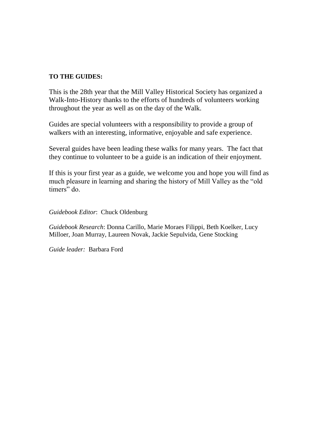## **TO THE GUIDES:**

This is the 28th year that the Mill Valley Historical Society has organized a Walk-Into-History thanks to the efforts of hundreds of volunteers working throughout the year as well as on the day of the Walk.

Guides are special volunteers with a responsibility to provide a group of walkers with an interesting, informative, enjoyable and safe experience.

Several guides have been leading these walks for many years. The fact that they continue to volunteer to be a guide is an indication of their enjoyment.

If this is your first year as a guide, we welcome you and hope you will find as much pleasure in learning and sharing the history of Mill Valley as the "old timers<sup>"</sup> do.

*Guidebook Editor*: Chuck Oldenburg

*Guidebook Research*: Donna Carillo, Marie Moraes Filippi, Beth Koelker, Lucy Milloer, Joan Murray, Laureen Novak, Jackie Sepulvida, Gene Stocking

*Guide leader:* Barbara Ford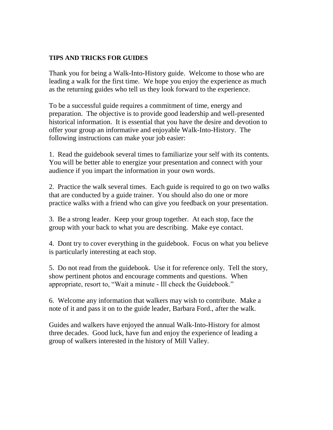## **TIPS AND TRICKS FOR GUIDES**

Thank you for being a Walk-Into-History guide. Welcome to those who are leading a walk for the first time. We hope you enjoy the experience as much as the returning guides who tell us they look forward to the experience.

To be a successful guide requires a commitment of time, energy and preparation. The objective is to provide good leadership and well-presented historical information. It is essential that you have the desire and devotion to offer your group an informative and enjoyable Walk-Into-History. The following instructions can make your job easier:

1. Read the guidebook several times to familiarize your self with its contents. You will be better able to energize your presentation and connect with your audience if you impart the information in your own words.

2. Practice the walk several times. Each guide is required to go on two walks that are conducted by a guide trainer. You should also do one or more practice walks with a friend who can give you feedback on your presentation.

3. Be a strong leader. Keep your group together. At each stop, face the group with your back to what you are describing. Make eye contact.

4. Dont try to cover everything in the guidebook. Focus on what you believe is particularly interesting at each stop.

5. Do not read from the guidebook. Use it for reference only. Tell the story, show pertinent photos and encourage comments and questions. When appropriate, resort to, "Wait a minute - Ill check the Guidebook."

6. Welcome any information that walkers may wish to contribute. Make a note of it and pass it on to the guide leader, Barbara Ford., after the walk.

Guides and walkers have enjoyed the annual Walk-Into-History for almost three decades. Good luck, have fun and enjoy the experience of leading a group of walkers interested in the history of Mill Valley.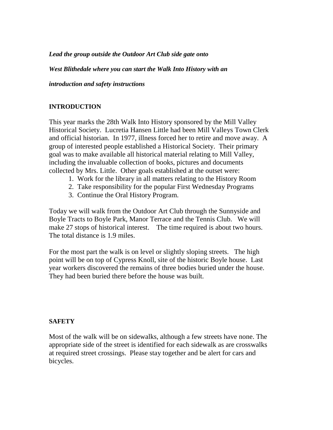## *Lead the group outside the Outdoor Art Club side gate onto*

*West Blithedale where you can start the Walk Into History with an* 

*introduction and safety instructions*

## **INTRODUCTION**

This year marks the 28th Walk Into History sponsored by the Mill Valley Historical Society. Lucretia Hansen Little had been Mill Valleys Town Clerk and official historian. In 1977, illness forced her to retire and move away. A group of interested people established a Historical Society. Their primary goal was to make available all historical material relating to Mill Valley, including the invaluable collection of books, pictures and documents collected by Mrs. Little. Other goals established at the outset were:

- 1. Work for the library in all matters relating to the History Room
- 2. Take responsibility for the popular First Wednesday Programs
- 3. Continue the Oral History Program.

Today we will walk from the Outdoor Art Club through the Sunnyside and Boyle Tracts to Boyle Park, Manor Terrace and the Tennis Club. We will make 27 stops of historical interest. The time required is about two hours. The total distance is 1.9 miles.

For the most part the walk is on level or slightly sloping streets. The high point will be on top of Cypress Knoll, site of the historic Boyle house. Last year workers discovered the remains of three bodies buried under the house. They had been buried there before the house was built.

## **SAFETY**

Most of the walk will be on sidewalks, although a few streets have none. The appropriate side of the street is identified for each sidewalk as are crosswalks at required street crossings. Please stay together and be alert for cars and bicycles.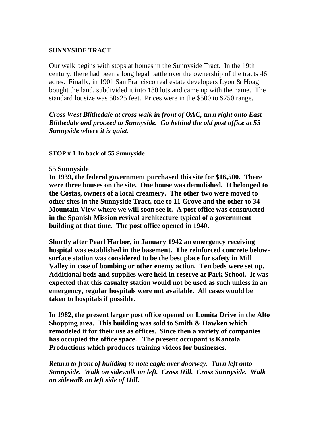## **SUNNYSIDE TRACT**

Our walk begins with stops at homes in the Sunnyside Tract. In the 19th century, there had been a long legal battle over the ownership of the tracts 46 acres. Finally, in 1901 San Francisco real estate developers Lyon & Hoag bought the land, subdivided it into 180 lots and came up with the name. The standard lot size was 50x25 feet. Prices were in the \$500 to \$750 range.

*Cross West Blithedale at cross walk in front of OAC, turn right onto East Blithedale and proceed to Sunnyside. Go behind the old post office at 55 Sunnyside where it is quiet.*

## **STOP # 1 In back of 55 Sunnyside**

## **55 Sunnyside**

**In 1939, the federal government purchased this site for \$16,500. There were three houses on the site. One house was demolished. It belonged to the Costas, owners of a local creamery. The other two were moved to other sites in the Sunnyside Tract, one to 11 Grove and the other to 34 Mountain View where we will soon see it. A post office was constructed in the Spanish Mission revival architecture typical of a government building at that time. The post office opened in 1940.** 

**Shortly after Pearl Harbor, in January 1942 an emergency receiving hospital was established in the basement. The reinforced concrete belowsurface station was considered to be the best place for safety in Mill Valley in case of bombing or other enemy action. Ten beds were set up. Additional beds and supplies were held in reserve at Park School. It was expected that this casualty station would not be used as such unless in an emergency, regular hospitals were not available. All cases would be taken to hospitals if possible.**

**In 1982, the present larger post office opened on Lomita Drive in the Alto Shopping area. This building was sold to Smith & Hawken which remodeled it for their use as offices. Since then a variety of companies has occupied the office space. The present occupant is Kantola Productions which produces training videos for businesses.** 

*Return to front of building to note eagle over doorway. Turn left onto Sunnyside. Walk on sidewalk on left. Cross Hill. Cross Sunnyside. Walk on sidewalk on left side of Hill.*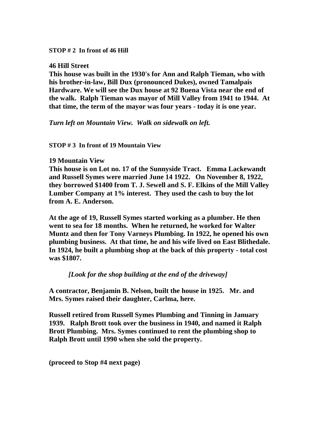## **STOP # 2 In front of 46 Hill**

#### **46 Hill Street**

**This house was built in the 1930's for Ann and Ralph Tieman, who with his brother-in-law, Bill Dux (pronounced Dukes), owned Tamalpais Hardware. We will see the Dux house at 92 Buena Vista near the end of the walk. Ralph Tieman was mayor of Mill Valley from 1941 to 1944. At that time, the term of the mayor was four years - today it is one year.**

*Turn left on Mountain View. Walk on sidewalk on left.*

**STOP # 3 In front of 19 Mountain View**

## **19 Mountain View**

**This house is on Lot no. 17 of the Sunnyside Tract. Emma Lackewandt and Russell Symes were married June 14 1922. On November 8, 1922, they borrowed \$1400 from T. J. Sewell and S. F. Elkins of the Mill Valley Lumber Company at 1% interest. They used the cash to buy the lot from A. E. Anderson.**

**At the age of 19, Russell Symes started working as a plumber. He then went to sea for 18 months. When he returned, he worked for Walter Muntz and then for Tony Varneys Plumbing. In 1922, he opened his own plumbing business. At that time, he and his wife lived on East Blithedale. In 1924, he built a plumbing shop at the back of this property - total cost was \$1807.**

## *[Look for the shop building at the end of the driveway]*

**A contractor, Benjamin B. Nelson, built the house in 1925. Mr. and Mrs. Symes raised their daughter, Carlma, here.**

**Russell retired from Russell Symes Plumbing and Tinning in January 1939. Ralph Brott took over the business in 1940, and named it Ralph Brott Plumbing. Mrs. Symes continued to rent the plumbing shop to Ralph Brott until 1990 when she sold the property.** 

**(proceed to Stop #4 next page)**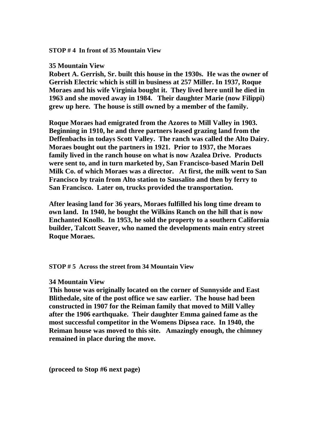#### **STOP # 4 In front of 35 Mountain View**

#### **35 Mountain View**

**Robert A. Gerrish, Sr. built this house in the 1930s. He was the owner of Gerrish Electric which is still in business at 257 Miller. In 1937, Roque Moraes and his wife Virginia bought it. They lived here until he died in 1963 and she moved away in 1984. Their daughter Marie (now Filippi) grew up here. The house is still owned by a member of the family.**

**Roque Moraes had emigrated from the Azores to Mill Valley in 1903. Beginning in 1910, he and three partners leased grazing land from the Deffenbachs in todays Scott Valley. The ranch was called the Alto Dairy. Moraes bought out the partners in 1921. Prior to 1937, the Moraes family lived in the ranch house on what is now Azalea Drive. Products were sent to, and in turn marketed by, San Francisco-based Marin Dell Milk Co. of which Moraes was a director. At first, the milk went to San Francisco by train from Alto station to Sausalito and then by ferry to San Francisco. Later on, trucks provided the transportation.**

**After leasing land for 36 years, Moraes fulfilled his long time dream to own land. In 1940, he bought the Wilkins Ranch on the hill that is now Enchanted Knolls. In 1953, he sold the property to a southern California builder, Talcott Seaver, who named the developments main entry street Roque Moraes.** 

**STOP # 5 Across the street from 34 Mountain View**

#### **34 Mountain View**

**This house was originally located on the corner of Sunnyside and East Blithedale, site of the post office we saw earlier. The house had been constructed in 1907 for the Reiman family that moved to Mill Valley after the 1906 earthquake. Their daughter Emma gained fame as the most successful competitor in the Womens Dipsea race. In 1940, the Reiman house was moved to this site. Amazingly enough, the chimney remained in place during the move.** 

**(proceed to Stop #6 next page)**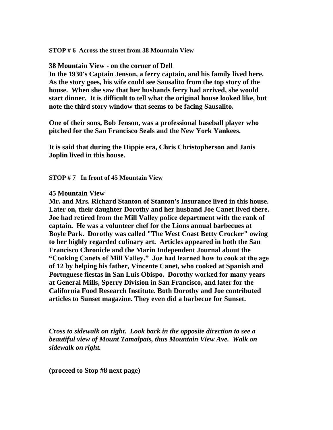**STOP # 6 Across the street from 38 Mountain View** 

**38 Mountain View - on the corner of Dell** 

**In the 1930's Captain Jenson, a ferry captain, and his family lived here. As the story goes, his wife could see Sausalito from the top story of the house. When she saw that her husbands ferry had arrived, she would start dinner. It is difficult to tell what the original house looked like, but note the third story window that seems to be facing Sausalito.** 

**One of their sons, Bob Jenson, was a professional baseball player who pitched for the San Francisco Seals and the New York Yankees.** 

**It is said that during the Hippie era, Chris Christopherson and Janis Joplin lived in this house.**

**STOP # 7 In front of 45 Mountain View** 

#### **45 Mountain View**

**Mr. and Mrs. Richard Stanton of Stanton's Insurance lived in this house. Later on, their daughter Dorothy and her husband Joe Canet lived there. Joe had retired from the Mill Valley police department with the rank of captain. He was a volunteer chef for the Lions annual barbecues at Boyle Park. Dorothy was called "The West Coast Betty Crocker" owing to her highly regarded culinary art. Articles appeared in both the San Francisco Chronicle and the Marin Independent Journal about the "Cooking Canets of Mill Valley." Joe had learned how to cook at the age of 12 by helping his father, Vincente Canet, who cooked at Spanish and Portuguese fiestas in San Luis Obispo. Dorothy worked for many years at General Mills, Sperry Division in San Francisco, and later for the California Food Research Institute. Both Dorothy and Joe contributed articles to Sunset magazine. They even did a barbecue for Sunset.**

*Cross to sidewalk on right. Look back in the opposite direction to see a beautiful view of Mount Tamalpais, thus Mountain View Ave. Walk on sidewalk on right.*

**(proceed to Stop #8 next page)**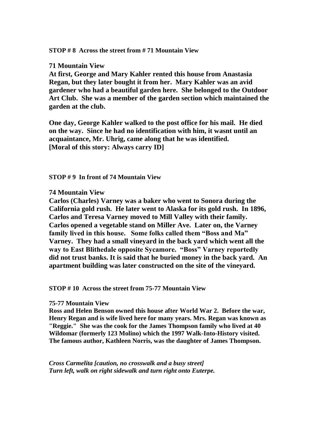#### **STOP # 8 Across the street from # 71 Mountain View**

#### **71 Mountain View**

**At first, George and Mary Kahler rented this house from Anastasia Regan, but they later bought it from her. Mary Kahler was an avid gardener who had a beautiful garden here. She belonged to the Outdoor Art Club. She was a member of the garden section which maintained the garden at the club.** 

**One day, George Kahler walked to the post office for his mail. He died on the way. Since he had no identification with him, it wasnt until an acquaintance, Mr. Uhrig, came along that he was identified. [Moral of this story: Always carry ID]**

#### **STOP # 9 In front of 74 Mountain View**

#### **74 Mountain View**

**Carlos (Charles) Varney was a baker who went to Sonora during the California gold rush. He later went to Alaska for its gold rush. In 1896, Carlos and Teresa Varney moved to Mill Valley with their family. Carlos opened a vegetable stand on Miller Ave. Later on, the Varney family lived in this house. Some folks called them "Boss and Ma" Varney. They had a small vineyard in the back yard which went all the way to East Blithedale opposite Sycamore. "Boss" Varney reportedly did not trust banks. It is said that he buried money in the back yard. An apartment building was later constructed on the site of the vineyard.**

**STOP # 10 Across the street from 75-77 Mountain View**

#### **75-77 Mountain View**

**Ross and Helen Benson owned this house after World War 2. Before the war, Henry Regan and is wife lived here for many years. Mrs. Regan was known as "Reggie." She was the cook for the James Thompson family who lived at 40 Wildomar (formerly 123 Molino) which the 1997 Walk-Into-History visited. The famous author, Kathleen Norris, was the daughter of James Thompson.**

*Cross Carmelita [caution, no crosswalk and a busy street] Turn left, walk on right sidewalk and turn right onto Euterpe.*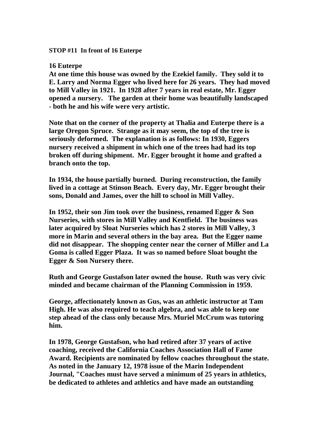## **STOP #11 In front of 16 Euterpe**

## **16 Euterpe**

**At one time this house was owned by the Ezekiel family. They sold it to E. Larry and Norma Egger who lived here for 26 years. They had moved to Mill Valley in 1921. In 1928 after 7 years in real estate, Mr. Egger opened a nursery. The garden at their home was beautifully landscaped - both he and his wife were very artistic.** 

**Note that on the corner of the property at Thalia and Euterpe there is a large Oregon Spruce. Strange as it may seem, the top of the tree is seriously deformed. The explanation is as follows: In 1930, Eggers nursery received a shipment in which one of the trees had had its top broken off during shipment. Mr. Egger brought it home and grafted a branch onto the top.** 

**In 1934, the house partially burned. During reconstruction, the family lived in a cottage at Stinson Beach. Every day, Mr. Egger brought their sons, Donald and James, over the hill to school in Mill Valley.**

**In 1952, their son Jim took over the business, renamed Egger & Son Nurseries, with stores in Mill Valley and Kentfield. The business was later acquired by Sloat Nurseries which has 2 stores in Mill Valley, 3 more in Marin and several others in the bay area. But the Egger name did not disappear. The shopping center near the corner of Miller and La Goma is called Egger Plaza. It was so named before Sloat bought the Egger & Son Nursery there.**

**Ruth and George Gustafson later owned the house. Ruth was very civic minded and became chairman of the Planning Commission in 1959.** 

**George, affectionately known as Gus, was an athletic instructor at Tam High. He was also required to teach algebra, and was able to keep one step ahead of the class only because Mrs. Muriel McCrum was tutoring him.** 

**In 1978, George Gustafson, who had retired after 37 years of active coaching, received the California Coaches Association Hall of Fame Award. Recipients are nominated by fellow coaches throughout the state. As noted in the January 12, 1978 issue of the Marin Independent Journal, "Coaches must have served a minimum of 25 years in athletics, be dedicated to athletes and athletics and have made an outstanding**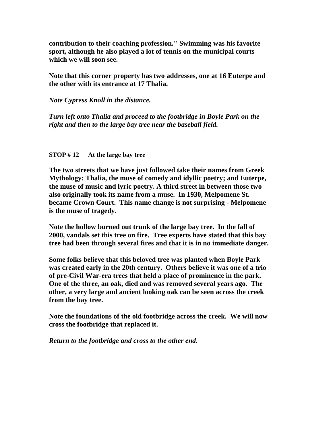**contribution to their coaching profession." Swimming was his favorite sport, although he also played a lot of tennis on the municipal courts which we will soon see.** 

**Note that this corner property has two addresses, one at 16 Euterpe and the other with its entrance at 17 Thalia.**

*Note Cypress Knoll in the distance.* 

*Turn left onto Thalia and proceed to the footbridge in Boyle Park on the right and then to the large bay tree near the baseball field.* 

## **STOP # 12 At the large bay tree**

**The two streets that we have just followed take their names from Greek Mythology: Thalia, the muse of comedy and idyllic poetry; and Euterpe, the muse of music and lyric poetry. A third street in between those two also originally took its name from a muse. In 1930, Melpomene St. became Crown Court. This name change is not surprising - Melpomene is the muse of tragedy.**

**Note the hollow burned out trunk of the large bay tree. In the fall of 2000, vandals set this tree on fire. Tree experts have stated that this bay tree had been through several fires and that it is in no immediate danger.** 

**Some folks believe that this beloved tree was planted when Boyle Park was created early in the 20th century. Others believe it was one of a trio of pre-Civil War-era trees that held a place of prominence in the park. One of the three, an oak, died and was removed several years ago. The other, a very large and ancient looking oak can be seen across the creek from the bay tree.** 

**Note the foundations of the old footbridge across the creek. We will now cross the footbridge that replaced it.**

*Return to the footbridge and cross to the other end.*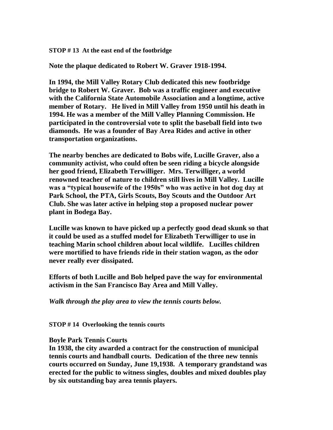## **STOP # 13 At the east end of the footbridge**

**Note the plaque dedicated to Robert W. Graver 1918-1994.**

**In 1994, the Mill Valley Rotary Club dedicated this new footbridge bridge to Robert W. Graver. Bob was a traffic engineer and executive with the California State Automobile Association and a longtime, active member of Rotary. He lived in Mill Valley from 1950 until his death in 1994. He was a member of the Mill Valley Planning Commission. He participated in the controversial vote to split the baseball field into two diamonds. He was a founder of Bay Area Rides and active in other transportation organizations.** 

**The nearby benches are dedicated to Bobs wife, Lucille Graver, also a community activist, who could often be seen riding a bicycle alongside her good friend, Elizabeth Terwilliger. Mrs. Terwilliger, a world renowned teacher of nature to children still lives in Mill Valley. Lucille was a "typical housewife of the 1950s" who was active in hot dog day at Park School, the PTA, Girls Scouts, Boy Scouts and the Outdoor Art Club. She was later active in helping stop a proposed nuclear power plant in Bodega Bay.**

**Lucille was known to have picked up a perfectly good dead skunk so that it could be used as a stuffed model for Elizabeth Terwilliger to use in teaching Marin school children about local wildlife. Lucilles children were mortified to have friends ride in their station wagon, as the odor never really ever dissipated.**

**Efforts of both Lucille and Bob helped pave the way for environmental activism in the San Francisco Bay Area and Mill Valley.**

*Walk through the play area to view the tennis courts below.*

**STOP # 14 Overlooking the tennis courts**

## **Boyle Park Tennis Courts**

**In 1938, the city awarded a contract for the construction of municipal tennis courts and handball courts. Dedication of the three new tennis courts occurred on Sunday, June 19,1938. A temporary grandstand was erected for the public to witness singles, doubles and mixed doubles play by six outstanding bay area tennis players.**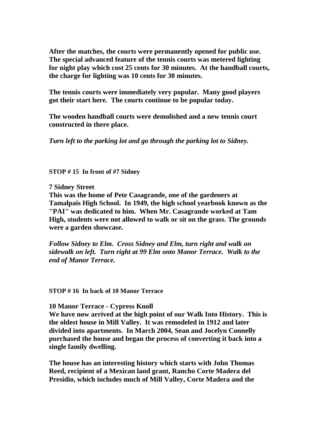**After the matches, the courts were permanently opened for public use. The special advanced feature of the tennis courts was metered lighting for night play which cost 25 cents for 30 minutes. At the handball courts, the charge for lighting was 10 cents for 30 minutes.**

**The tennis courts were immediately very popular. Many good players got their start here. The courts continue to be popular today.**

**The wooden handball courts were demolished and a new tennis court constructed in there place.**

*Turn left to the parking lot and go through the parking lot to Sidney.* 

**STOP # 15 In front of #7 Sidney**

**7 Sidney Street**

**This was the home of Pete Casagrande, one of the gardeners at Tamalpais High School. In 1949, the high school yearbook known as the "PAI" was dedicated to him. When Mr. Casagrande worked at Tam High, students were not allowed to walk or sit on the grass. The grounds were a garden showcase.**

*Follow Sidney to Elm. Cross Sidney and Elm, turn right and walk on sidewalk on left. Turn right at 99 Elm onto Manor Terrace. Walk to the end of Manor Terrace.*

**STOP # 16 In back of 10 Manor Terrace**

**10 Manor Terrace - Cypress Knoll**

**We have now arrived at the high point of our Walk Into History. This is the oldest house in Mill Valley. It was remodeled in 1912 and later divided into apartments. In March 2004, Sean and Jocelyn Connelly purchased the house and began the process of converting it back into a single family dwelling.** 

**The house has an interesting history which starts with John Thomas Reed, recipient of a Mexican land grant, Rancho Corte Madera del Presidio, which includes much of Mill Valley, Corte Madera and the**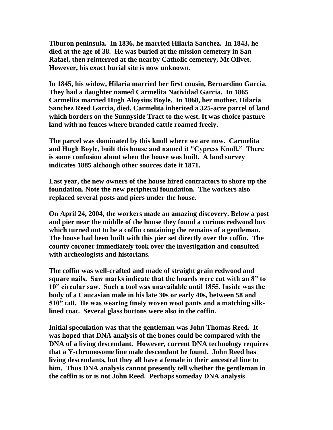**Tiburon peninsula. In 1836, he married Hilaria Sanchez. In 1843, he died at the age of 38. He was buried at the mission cemetery in San Rafael, then reinterred at the nearby Catholic cemetery, Mt Olivet. However, his exact burial site is now unknown.**

**In 1845, his widow, Hilaria married her first cousin, Bernardino Garcia. They had a daughter named Carmelita Natividad Garcia. In 1865 Carmelita married Hugh Aloysius Boyle. In 1868, her mother, Hilaria Sanchez Reed Garcia, died. Carmelita inherited a 325-acre parcel of land which borders on the Sunnyside Tract to the west. It was choice pasture land with no fences where branded cattle roamed freely.**

**The parcel was dominated by this knoll where we are now. Carmelita and Hugh Boyle, built this house and named it "Cypress Knoll." There is some confusion about when the house was built. A land survey indicates 1885 although other sources date it 1871.**

**Last year, the new owners of the house hired contractors to shore up the foundation. Note the new peripheral foundation. The workers also replaced several posts and piers under the house.** 

**On April 24, 2004, the workers made an amazing discovery. Below a post and pier near the middle of the house they found a curious redwood box which turned out to be a coffin containing the remains of a gentleman. The house had been built with this pier set directly over the coffin. The county coroner immediately took over the investigation and consulted with archeologists and historians.** 

**The coffin was well-crafted and made of straight grain redwood and square nails. Saw marks indicate that the boards were cut with an 8" to 10" circular saw. Such a tool was unavailable until 1855. Inside was the body of a Caucasian male in his late 30s or early 40s, between 58 and 510" tall. He was wearing finely woven wool pants and a matching silklined coat. Several glass buttons were also in the coffin.** 

**Initial speculation was that the gentleman was John Thomas Reed. It was hoped that DNA analysis of the bones could be compared with the DNA of a living descendant. However, current DNA technology requires that a Y-chromosome line male descendant be found. John Reed has living descendants, but they all have a female in their ancestral line to him. Thus DNA analysis cannot presently tell whether the gentleman in the coffin is or is not John Reed. Perhaps someday DNA analysis**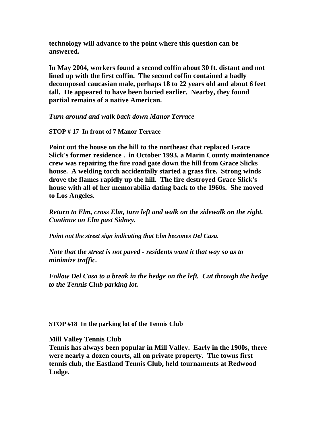**technology will advance to the point where this question can be answered.**

**In May 2004, workers found a second coffin about 30 ft. distant and not lined up with the first coffin. The second coffin contained a badly decomposed caucasian male, perhaps 18 to 22 years old and about 6 feet tall. He appeared to have been buried earlier. Nearby, they found partial remains of a native American.**

## *Turn around and walk back down Manor Terrace*

## **STOP # 17 In front of 7 Manor Terrace**

**Point out the house on the hill to the northeast that replaced Grace Slick's former residence . in October 1993, a Marin County maintenance crew was repairing the fire road gate down the hill from Grace Slicks house. A welding torch accidentally started a grass fire. Strong winds drove the flames rapidly up the hill. The fire destroyed Grace Slick's house with all of her memorabilia dating back to the 1960s. She moved to Los Angeles.**

*Return to Elm, cross Elm, turn left and walk on the sidewalk on the right. Continue on Elm past Sidney.* 

*Point out the street sign indicating that Elm becomes Del Casa.* 

*Note that the street is not paved - residents want it that way so as to minimize traffic.*

*Follow Del Casa to a break in the hedge on the left. Cut through the hedge to the Tennis Club parking lot.*

**STOP #18 In the parking lot of the Tennis Club**

**Mill Valley Tennis Club**

**Tennis has always been popular in Mill Valley. Early in the 1900s, there were nearly a dozen courts, all on private property. The towns first tennis club, the Eastland Tennis Club, held tournaments at Redwood Lodge.**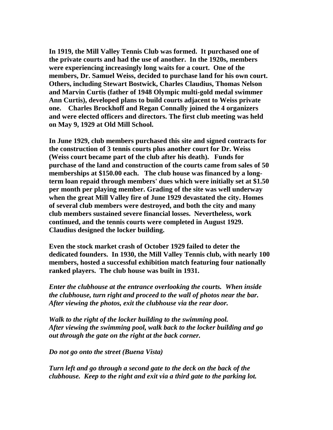**In 1919, the Mill Valley Tennis Club was formed. It purchased one of the private courts and had the use of another. In the 1920s, members were experiencing increasingly long waits for a court. One of the members, Dr. Samuel Weiss, decided to purchase land for his own court. Others, including Stewart Bostwick, Charles Claudius, Thomas Nelson and Marvin Curtis (father of 1948 Olympic multi-gold medal swimmer Ann Curtis), developed plans to build courts adjacent to Weiss private one. Charles Brockhoff and Regan Connally joined the 4 organizers and were elected officers and directors. The first club meeting was held on May 9, 1929 at Old Mill School.**

**In June 1929, club members purchased this site and signed contracts for the construction of 3 tennis courts plus another court for Dr. Weiss (Weiss court became part of the club after his death). Funds for purchase of the land and construction of the courts came from sales of 50 memberships at \$150.00 each. The club house was financed by a longterm loan repaid through members' dues which were initially set at \$1.50 per month per playing member. Grading of the site was well underway when the great Mill Valley fire of June 1929 devastated the city. Homes of several club members were destroyed, and both the city and many club members sustained severe financial losses. Nevertheless, work continued, and the tennis courts were completed in August 1929. Claudius designed the locker building.**

**Even the stock market crash of October 1929 failed to deter the dedicated founders. In 1930, the Mill Valley Tennis club, with nearly 100 members, hosted a successful exhibition match featuring four nationally ranked players. The club house was built in 1931.**

*Enter the clubhouse at the entrance overlooking the courts. When inside the clubhouse, turn right and proceed to the wall of photos near the bar.* *After viewing the photos, exit the clubhouse via the rear door.* 

*Walk to the right of the locker building to the swimming pool. After viewing the swimming pool, walk back to the locker building and go out through the gate on the right at the back corner.*

*Do not go onto the street (Buena Vista)*

*Turn left and go through a second gate to the deck on the back of the clubhouse. Keep to the right and exit via a third gate to the parking lot.*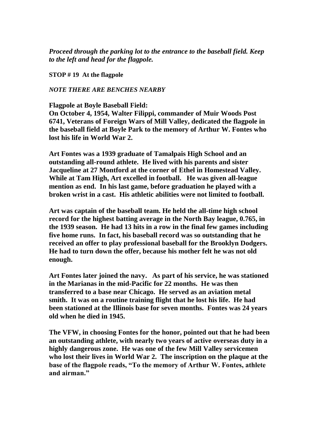*Proceed through the parking lot to the entrance to the baseball field. Keep to the left and head for the flagpole.* 

**STOP # 19 At the flagpole**

*NOTE THERE ARE BENCHES NEARBY*

**Flagpole at Boyle Baseball Field: On October 4, 1954, Walter Filippi, commander of Muir Woods Post 6741, Veterans of Foreign Wars of Mill Valley, dedicated the flagpole in the baseball field at Boyle Park to the memory of Arthur W. Fontes who lost his life in World War 2.** 

**Art Fontes was a 1939 graduate of Tamalpais High School and an outstanding all-round athlete. He lived with his parents and sister Jacqueline at 27 Montford at the corner of Ethel in Homestead Valley. While at Tam High, Art excelled in football. He was given all-league mention as end. In his last game, before graduation he played with a broken wrist in a cast. His athletic abilities were not limited to football.** 

**Art was captain of the baseball team. He held the all-time high school record for the highest batting average in the North Bay league, 0.765, in the 1939 season. He had 13 hits in a row in the final few games including five home runs. In fact, his baseball record was so outstanding that he received an offer to play professional baseball for the Brooklyn Dodgers. He had to turn down the offer, because his mother felt he was not old enough.** 

**Art Fontes later joined the navy. As part of his service, he was stationed in the Marianas in the mid-Pacific for 22 months. He was then transferred to a base near Chicago. He served as an aviation metal smith. It was on a routine training flight that he lost his life. He had been stationed at the Illinois base for seven months. Fontes was 24 years old when he died in 1945.** 

**The VFW, in choosing Fontes for the honor, pointed out that he had been an outstanding athlete, with nearly two years of active overseas duty in a highly dangerous zone. He was one of the few Mill Valley servicemen who lost their lives in World War 2. The inscription on the plaque at the base of the flagpole reads, "To the memory of Arthur W. Fontes, athlete and airman."**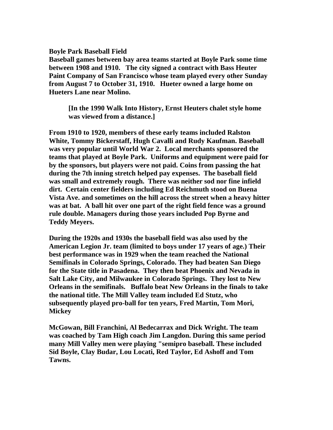## **Boyle Park Baseball Field**

**Baseball games between bay area teams started at Boyle Park some time between 1908 and 1910. The city signed a contract with Bass Heuter Paint Company of San Francisco whose team played every other Sunday from August 7 to October 31, 1910. Hueter owned a large home on Hueters Lane near Molino.** 

**[In the 1990 Walk Into History, Ernst Heuters chalet style home was viewed from a distance.]**

**From 1910 to 1920, members of these early teams included Ralston White, Tommy Bickerstaff, Hugh Cavalli and Rudy Kaufman. Baseball was very popular until World War 2. Local merchants sponsored the teams that played at Boyle Park. Uniforms and equipment were paid for by the sponsors, but players were not paid. Coins from passing the hat during the 7th inning stretch helped pay expenses. The baseball field was small and extremely rough. There was neither sod nor fine infield dirt. Certain center fielders including Ed Reichmuth stood on Buena Vista Ave. and sometimes on the hill across the street when a heavy hitter was at bat. A ball hit over one part of the right field fence was a ground rule double. Managers during those years included Pop Byrne and Teddy Meyers.**

**During the 1920s and 1930s the baseball field was also used by the American Legion Jr. team (limited to boys under 17 years of age.) Their best performance was in 1929 when the team reached the National Semifinals in Colorado Springs, Colorado. They had beaten San Diego for the State title in Pasadena. They then beat Phoenix and Nevada in Salt Lake City, and Milwaukee in Colorado Springs. They lost to New Orleans in the semifinals. Buffalo beat New Orleans in the finals to take the national title. The Mill Valley team included Ed Stutz, who subsequently played pro-ball for ten years, Fred Martin, Tom Mori, Mickey** 

**McGowan, Bill Franchini, Al Bedecarrax and Dick Wright. The team was coached by Tam High coach Jim Langdon. During this same period many Mill Valley men were playing "semipro baseball. These included Sid Boyle, Clay Budar, Lou Locati, Red Taylor, Ed Ashoff and Tom Tawns.**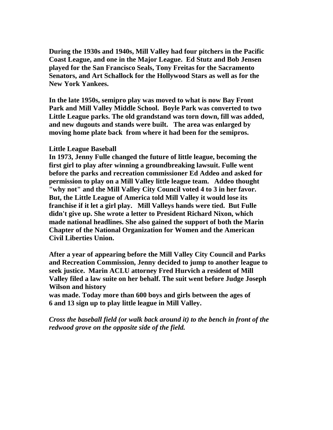**During the 1930s and 1940s, Mill Valley had four pitchers in the Pacific Coast League, and one in the Major League. Ed Stutz and Bob Jensen played for the San Francisco Seals, Tony Freitas for the Sacramento Senators, and Art Schallock for the Hollywood Stars as well as for the New York Yankees.** 

**In the late 1950s, semipro play was moved to what is now Bay Front Park and Mill Valley Middle School. Boyle Park was converted to two Little League parks. The old grandstand was torn down, fill was added, and new dugouts and stands were built. The area was enlarged by moving home plate back from where it had been for the semipros.**

## **Little League Baseball**

**In 1973, Jenny Fulle changed the future of little league, becoming the first girl to play after winning a groundbreaking lawsuit. Fulle went before the parks and recreation commissioner Ed Addeo and asked for permission to play on a Mill Valley little league team. Addeo thought "why not" and the Mill Valley City Council voted 4 to 3 in her favor. But, the Little League of America told Mill Valley it would lose its franchise if it let a girl play. Mill Valleys hands were tied. But Fulle didn't give up. She wrote a letter to President Richard Nixon, which made national headlines. She also gained the support of both the Marin Chapter of the National Organization for Women and the American Civil Liberties Union.**

**After a year of appearing before the Mill Valley City Council and Parks and Recreation Commission, Jenny decided to jump to another league to seek justice. Marin ACLU attorney Fred Hurvich a resident of Mill Valley filed a law suite on her behalf. The suit went before Judge Joseph Wilson and history**

**was made. Today more than 600 boys and girls between the ages of 6 and 13 sign up to play little league in Mill Valley.**

*Cross the baseball field (or walk back around it) to the bench in front of the redwood grove on the opposite side of the field.*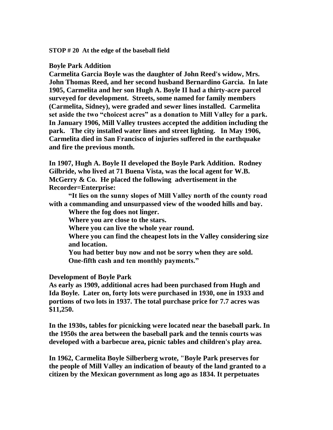**STOP # 20 At the edge of the baseball field**

#### **Boyle Park Addition**

**Carmelita Garcia Boyle was the daughter of John Reed's widow, Mrs. John Thomas Reed, and her second husband Bernardino Garcia. In late 1905, Carmelita and her son Hugh A. Boyle II had a thirty-acre parcel surveyed for development. Streets, some named for family members (Carmelita, Sidney), were graded and sewer lines installed. Carmelita set aside the two "choicest acres" as a donation to Mill Valley for a park. In January 1906, Mill Valley trustees accepted the addition including the park. The city installed water lines and street lighting. In May 1906, Carmelita died in San Francisco of injuries suffered in the earthquake and fire the previous month.**

**In 1907, Hugh A. Boyle II developed the Boyle Park Addition. Rodney Gilbride, who lived at 71 Buena Vista, was the local agent for W.B. McGerry & Co. He placed the following advertisement in the Recorder=Enterprise:** 

**"It lies on the sunny slopes of Mill Valley north of the county road with a commanding and unsurpassed view of the wooded hills and bay.**

**Where the fog does not linger.**

**Where you are close to the stars.**

**Where you can live the whole year round.**

**Where you can find the cheapest lots in the Valley considering size and location.**

**You had better buy now and not be sorry when they are sold. One-fifth cash and ten monthly payments."** 

**Development of Boyle Park**

**As early as 1909, additional acres had been purchased from Hugh and Ida Boyle. Later on, forty lots were purchased in 1930, one in 1933 and portions of two lots in 1937. The total purchase price for 7.7 acres was \$11,250.** 

**In the 1930s, tables for picnicking were located near the baseball park. In the 1950s the area between the baseball park and the tennis courts was developed with a barbecue area, picnic tables and children's play area.**

**In 1962, Carmelita Boyle Silberberg wrote, "Boyle Park preserves for the people of Mill Valley an indication of beauty of the land granted to a citizen by the Mexican government as long ago as 1834. It perpetuates**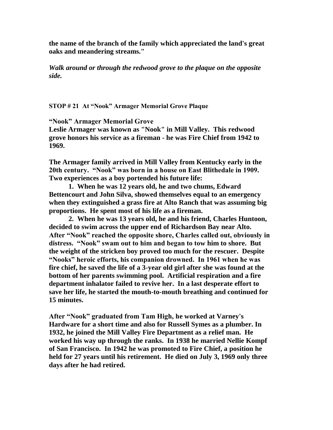**the name of the branch of the family which appreciated the land's great oaks and meandering streams."**

*Walk around or through the redwood grove to the plaque on the opposite side.*

**STOP # 21 At "Nook" Armager Memorial Grove Plaque**

**"Nook" Armager Memorial Grove**

**Leslie Armager was known as "Nook" in Mill Valley. This redwood grove honors his service as a fireman - he was Fire Chief from 1942 to 1969.** 

**The Armager family arrived in Mill Valley from Kentucky early in the 20th century. "Nook" was born in a house on East Blithedale in 1909. Two experiences as a boy portended his future life:**

**1. When he was 12 years old, he and two chums, Edward Bettencourt and John Silva, showed themselves equal to an emergency when they extinguished a grass fire at Alto Ranch that was assuming big proportions. He spent most of his life as a fireman.**

**2. When he was 13 years old, he and his friend, Charles Huntoon, decided to swim across the upper end of Richardson Bay near Alto. After "Nook" reached the opposite shore, Charles called out, obviously in distress. "Nook" swam out to him and began to tow him to shore. But the weight of the stricken boy proved too much for the rescuer. Despite "Nooks" heroic efforts, his companion drowned. In 1961 when he was fire chief, he saved the life of a 3-year old girl after she was found at the bottom of her parents swimming pool. Artificial respiration and a fire department inhalator failed to revive her. In a last desperate effort to save her life, he started the mouth-to-mouth breathing and continued for 15 minutes.** 

**After "Nook" graduated from Tam High, he worked at Varney's Hardware for a short time and also for Russell Symes as a plumber. In 1932, he joined the Mill Valley Fire Department as a relief man. He worked his way up through the ranks. In 1938 he married Nellie Kompf of San Francisco. In 1942 he was promoted to Fire Chief, a position he held for 27 years until his retirement. He died on July 3, 1969 only three days after he had retired.**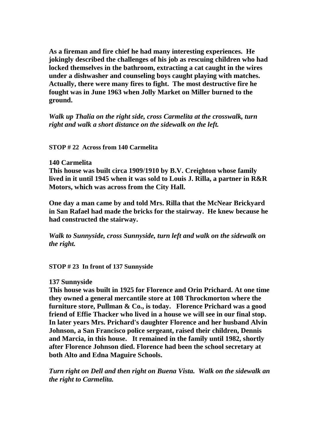**As a fireman and fire chief he had many interesting experiences. He jokingly described the challenges of his job as rescuing children who had locked themselves in the bathroom, extracting a cat caught in the wires under a dishwasher and counseling boys caught playing with matches. Actually, there were many fires to fight. The most destructive fire he fought was in June 1963 when Jolly Market on Miller burned to the ground.** 

*Walk up Thalia on the right side, cross Carmelita at the crosswalk, turn right and walk a short distance on the sidewalk on the left.*

**STOP # 22 Across from 140 Carmelita**

**140 Carmelita** 

**This house was built circa 1909/1910 by B.V. Creighton whose family lived in it until 1945 when it was sold to Louis J. Rilla, a partner in R&R Motors, which was across from the City Hall.** 

**One day a man came by and told Mrs. Rilla that the McNear Brickyard in San Rafael had made the bricks for the stairway. He knew because he had constructed the stairway.** 

*Walk to Sunnyside, cross Sunnyside, turn left and walk on the sidewalk on the right.* 

**STOP # 23 In front of 137 Sunnyside** 

## **137 Sunnyside**

**This house was built in 1925 for Florence and Orin Prichard. At one time they owned a general mercantile store at 108 Throckmorton where the furniture store, Pullman & Co., is today. Florence Prichard was a good friend of Effie Thacker who lived in a house we will see in our final stop. In later years Mrs. Prichard's daughter Florence and her husband Alvin Johnson, a San Francisco police sergeant, raised their children, Dennis and Marcia, in this house. It remained in the family until 1982, shortly after Florence Johnson died. Florence had been the school secretary at both Alto and Edna Maguire Schools.**

*Turn right on Dell and then right on Buena Vista. Walk on the sidewalk an the right to Carmelita.*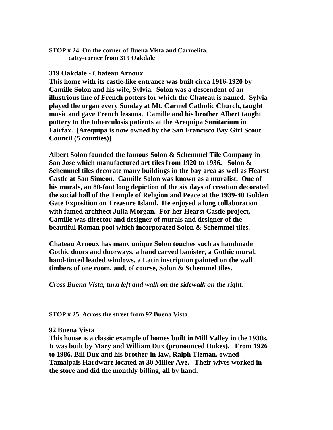## **STOP # 24 On the corner of Buena Vista and Carmelita, catty-corner from 319 Oakdale**

## **319 Oakdale - Chateau Arnoux**

**This home with its castle-like entrance was built circa 1916-1920 by Camille Solon and his wife, Sylvia. Solon was a descendent of an illustrious line of French potters for which the Chateau is named. Sylvia played the organ every Sunday at Mt. Carmel Catholic Church, taught music and gave French lessons. Camille and his brother Albert taught pottery to the tuberculosis patients at the Arequipa Sanitarium in Fairfax. [Arequipa is now owned by the San Francisco Bay Girl Scout Council (5 counties)]**

**Albert Solon founded the famous Solon & Schemmel Tile Company in San Jose which manufactured art tiles from 1920 to 1936. Solon & Schemmel tiles decorate many buildings in the bay area as well as Hearst Castle at San Simeon. Camille Solon was known as a muralist. One of his murals, an 80-foot long depiction of the six days of creation decorated the social hall of the Temple of Religion and Peace at the 1939-40 Golden Gate Exposition on Treasure Island. He enjoyed a long collaboration with famed architect Julia Morgan. For her Hearst Castle project, Camille was director and designer of murals and designer of the beautiful Roman pool which incorporated Solon & Schemmel tiles.** 

**Chateau Arnoux has many unique Solon touches such as handmade Gothic doors and doorways, a hand carved banister, a Gothic mural, hand-tinted leaded windows, a Latin inscription painted on the wall timbers of one room, and, of course, Solon & Schemmel tiles.** 

*Cross Buena Vista, turn left and walk on the sidewalk on the right.*

**STOP # 25 Across the street from 92 Buena Vista**

## **92 Buena Vista**

**This house is a classic example of homes built in Mill Valley in the 1930s. It was built by Mary and William Dux (pronounced Dukes). From 1926 to 1986, Bill Dux and his brother-in-law, Ralph Tieman, owned Tamalpais Hardware located at 30 Miller Ave. Their wives worked in the store and did the monthly billing, all by hand.**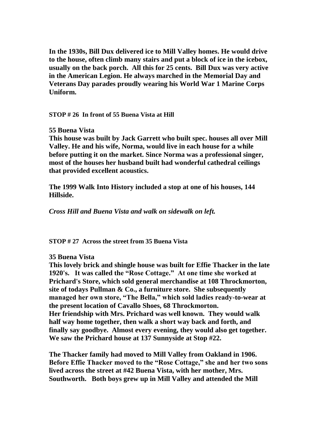**In the 1930s, Bill Dux delivered ice to Mill Valley homes. He would drive to the house, often climb many stairs and put a block of ice in the icebox, usually on the back porch. All this for 25 cents. Bill Dux was very active in the American Legion. He always marched in the Memorial Day and Veterans Day parades proudly wearing his World War 1 Marine Corps Uniform.**

**STOP # 26 In front of 55 Buena Vista at Hill** 

#### **55 Buena Vista**

**This house was built by Jack Garrett who built spec. houses all over Mill Valley. He and his wife, Norma, would live in each house for a while before putting it on the market. Since Norma was a professional singer, most of the houses her husband built had wonderful cathedral ceilings that provided excellent acoustics.** 

**The 1999 Walk Into History included a stop at one of his houses, 144 Hillside.**

*Cross Hill and Buena Vista and walk on sidewalk on left.*

**STOP # 27 Across the street from 35 Buena Vista**

#### **35 Buena Vista**

**This lovely brick and shingle house was built for Effie Thacker in the late 1920's. It was called the "Rose Cottage." At one time she worked at Prichard's Store, which sold general merchandise at 108 Throckmorton, site of todays Pullman & Co., a furniture store. She subsequently managed her own store, "The Bella," which sold ladies ready-to-wear at the present location of Cavallo Shoes, 68 Throckmorton. Her friendship with Mrs. Prichard was well known. They would walk half way home together, then walk a short way back and forth, and finally say goodbye. Almost every evening, they would also get together. We saw the Prichard house at 137 Sunnyside at Stop #22.**

**The Thacker family had moved to Mill Valley from Oakland in 1906. Before Effie Thacker moved to the "Rose Cottage," she and her two sons lived across the street at #42 Buena Vista, with her mother, Mrs. Southworth. Both boys grew up in Mill Valley and attended the Mill**